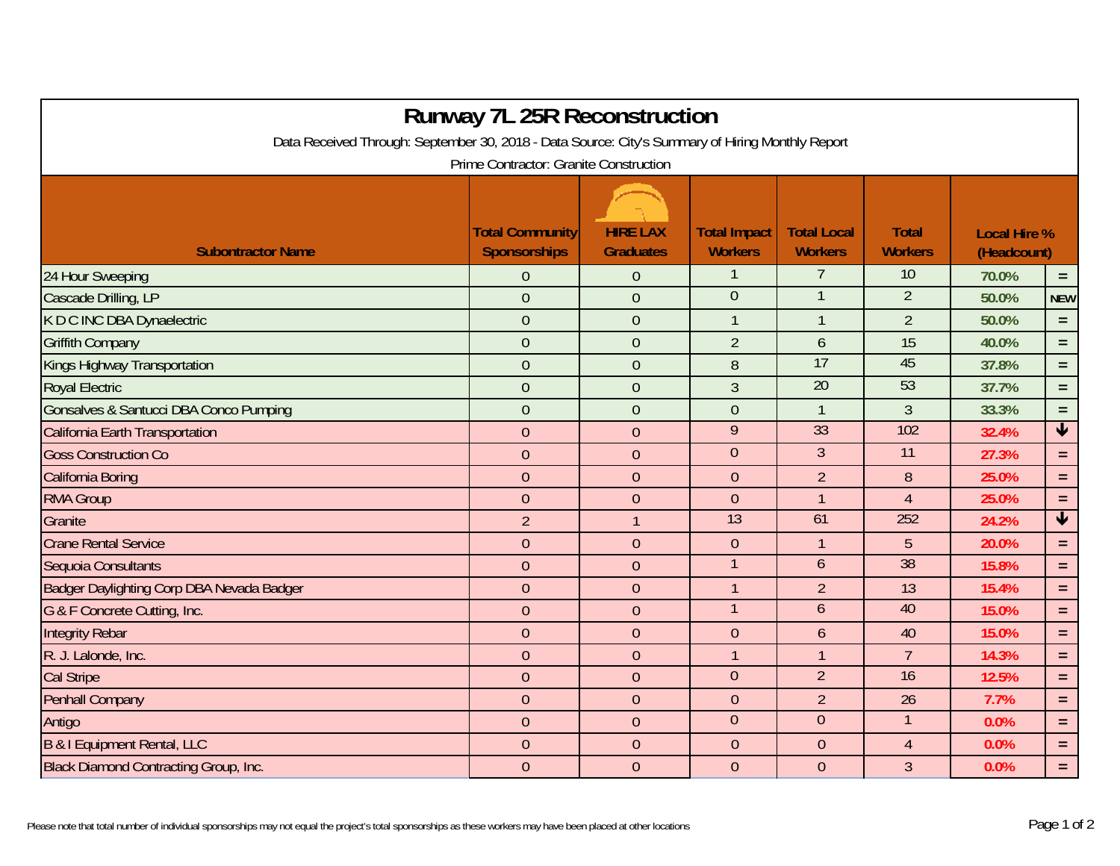| <b>Runway 7L 25R Reconstruction</b><br>Data Received Through: September 30, 2018 - Data Source: City's Summary of Hiring Monthly Report<br>Prime Contractor: Granite Construction |                  |                |                 |                 |                 |       |                            |  |  |  |  |  |
|-----------------------------------------------------------------------------------------------------------------------------------------------------------------------------------|------------------|----------------|-----------------|-----------------|-----------------|-------|----------------------------|--|--|--|--|--|
|                                                                                                                                                                                   |                  |                |                 |                 |                 |       |                            |  |  |  |  |  |
| 24 Hour Sweeping                                                                                                                                                                  | 0                | $\theta$       |                 |                 | 10              | 70.0% | $\equiv$                   |  |  |  |  |  |
| Cascade Drilling, LP                                                                                                                                                              | $\overline{0}$   | $\overline{0}$ | $\overline{0}$  |                 | $\overline{2}$  | 50.0% | <b>NEW</b>                 |  |  |  |  |  |
| K D C INC DBA Dynaelectric                                                                                                                                                        | $\overline{0}$   | $\overline{0}$ | 1               | $\mathbf 1$     | $\overline{2}$  | 50.0% | $\equiv$                   |  |  |  |  |  |
| <b>Griffith Company</b>                                                                                                                                                           | $\overline{0}$   | $\overline{0}$ | $\overline{2}$  | $\mathfrak b$   | 15              | 40.0% | $=$                        |  |  |  |  |  |
| Kings Highway Transportation                                                                                                                                                      | $\overline{0}$   | $\overline{0}$ | 8               | 17              | 45              | 37.8% | $=$                        |  |  |  |  |  |
| <b>Royal Electric</b>                                                                                                                                                             | $\overline{0}$   | $\overline{0}$ | $\overline{3}$  | $\overline{20}$ | 53              | 37.7% | $\equiv$                   |  |  |  |  |  |
| Gonsalves & Santucci DBA Conco Pumping                                                                                                                                            | $\overline{0}$   | $\overline{0}$ | $\overline{0}$  | $\mathbf{1}$    | $\overline{3}$  | 33.3% | $=$                        |  |  |  |  |  |
| California Earth Transportation                                                                                                                                                   | $\overline{0}$   | $\overline{0}$ | 9               | 33              | 102             | 32.4% | $\blacklozenge$            |  |  |  |  |  |
| <b>Goss Construction Co</b>                                                                                                                                                       | $\overline{0}$   | $\overline{0}$ | $\overline{0}$  | $\overline{3}$  | $\overline{11}$ | 27.3% | $\equiv$                   |  |  |  |  |  |
| California Boring                                                                                                                                                                 | $\mathbf{0}$     | $\overline{0}$ | $\theta$        | $\overline{2}$  | 8               | 25.0% | $\equiv$                   |  |  |  |  |  |
| <b>RMA Group</b>                                                                                                                                                                  | $\overline{0}$   | $\mathbf{0}$   | $\overline{0}$  | $\mathbf{1}$    | $\overline{4}$  | 25.0% | $\equiv$                   |  |  |  |  |  |
| Granite                                                                                                                                                                           | $\overline{2}$   |                | $\overline{13}$ | 61              | 252             | 24.2% | $\overline{\blacklozenge}$ |  |  |  |  |  |
| <b>Crane Rental Service</b>                                                                                                                                                       | $\overline{0}$   | $\overline{0}$ | $\overline{0}$  | $\mathbf{1}$    | 5               | 20.0% | $\equiv$                   |  |  |  |  |  |
| Sequoia Consultants                                                                                                                                                               | $\overline{0}$   | $\overline{0}$ |                 | $\mathfrak b$   | 38              | 15.8% | $\equiv$                   |  |  |  |  |  |
| Badger Daylighting Corp DBA Nevada Badger                                                                                                                                         | $\overline{0}$   | $\overline{0}$ | $\mathbf{1}$    | $\overline{2}$  | 13              | 15.4% | $=$                        |  |  |  |  |  |
| G & F Concrete Cutting, Inc.                                                                                                                                                      | $\overline{0}$   | $\overline{0}$ |                 | $\overline{6}$  | 40              | 15.0% | $=$                        |  |  |  |  |  |
| <b>Integrity Rebar</b>                                                                                                                                                            | $\overline{0}$   | $\overline{0}$ | $\overline{0}$  | $\mathfrak b$   | 40              | 15.0% | $\equiv$                   |  |  |  |  |  |
| R. J. Lalonde, Inc.                                                                                                                                                               | $\overline{0}$   | $\overline{0}$ | 1               | $\overline{1}$  | $\overline{7}$  | 14.3% | $\equiv$                   |  |  |  |  |  |
| <b>Cal Stripe</b>                                                                                                                                                                 | $\overline{0}$   | $\overline{0}$ | $\mathbf{0}$    | $\overline{2}$  | 16              | 12.5% | $\equiv$                   |  |  |  |  |  |
| <b>Penhall Company</b>                                                                                                                                                            | $\boldsymbol{0}$ | $\theta$       | $\overline{0}$  | $\overline{2}$  | 26              | 7.7%  | $\equiv$                   |  |  |  |  |  |
| Antigo                                                                                                                                                                            | $\theta$         | $\mathbf{0}$   | $\overline{0}$  | $\overline{0}$  | $\mathbf{1}$    | 0.0%  | $\equiv$                   |  |  |  |  |  |
| B & I Equipment Rental, LLC                                                                                                                                                       | $\overline{0}$   | $\overline{0}$ | $\overline{0}$  | $\theta$        | $\overline{4}$  | 0.0%  | $\equiv$                   |  |  |  |  |  |
| <b>Black Diamond Contracting Group, Inc.</b>                                                                                                                                      | $\overline{0}$   | $\overline{0}$ | $\overline{0}$  | $\theta$        | $\overline{3}$  | 0.0%  | $\equiv$                   |  |  |  |  |  |